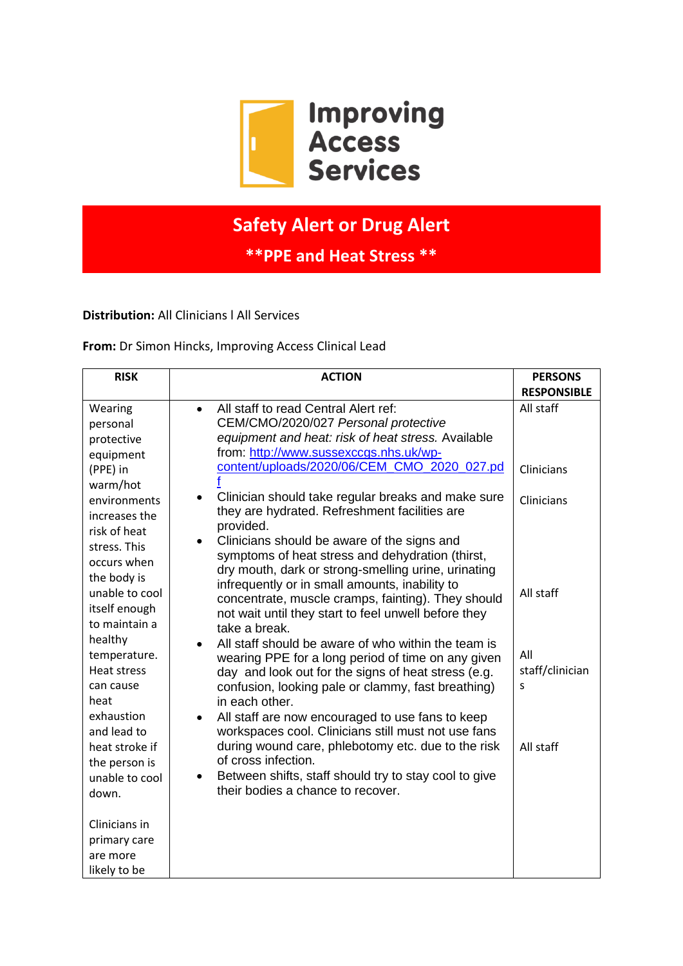

## **Safety Alert or Drug Alert**

**\*\*PPE and Heat Stress \*\***

**Distribution:** All Clinicians l All Services

**From:** Dr Simon Hincks, Improving Access Clinical Lead

| <b>RISK</b>                                                                                                                                                                                                                                                                    | <b>ACTION</b>                                                                                                                                                                                                                                                                                                                                                                                                                                                                                                                                                                                                                                                                                                                                                                                                                                                                                                                                                                                                                                                                                                                                                                                                                                          | <b>PERSONS</b>                                     |
|--------------------------------------------------------------------------------------------------------------------------------------------------------------------------------------------------------------------------------------------------------------------------------|--------------------------------------------------------------------------------------------------------------------------------------------------------------------------------------------------------------------------------------------------------------------------------------------------------------------------------------------------------------------------------------------------------------------------------------------------------------------------------------------------------------------------------------------------------------------------------------------------------------------------------------------------------------------------------------------------------------------------------------------------------------------------------------------------------------------------------------------------------------------------------------------------------------------------------------------------------------------------------------------------------------------------------------------------------------------------------------------------------------------------------------------------------------------------------------------------------------------------------------------------------|----------------------------------------------------|
|                                                                                                                                                                                                                                                                                |                                                                                                                                                                                                                                                                                                                                                                                                                                                                                                                                                                                                                                                                                                                                                                                                                                                                                                                                                                                                                                                                                                                                                                                                                                                        | <b>RESPONSIBLE</b>                                 |
| Wearing<br>personal<br>protective<br>equipment<br>(PPE) in<br>warm/hot<br>environments<br>increases the<br>risk of heat<br>stress. This<br>occurs when<br>the body is                                                                                                          | All staff to read Central Alert ref:<br>$\bullet$<br>CEM/CMO/2020/027 Personal protective<br>equipment and heat: risk of heat stress. Available<br>from: http://www.sussexccgs.nhs.uk/wp-<br>content/uploads/2020/06/CEM_CMO_2020_027.pd<br>Clinician should take regular breaks and make sure<br>they are hydrated. Refreshment facilities are<br>provided.<br>Clinicians should be aware of the signs and<br>symptoms of heat stress and dehydration (thirst,<br>dry mouth, dark or strong-smelling urine, urinating<br>infrequently or in small amounts, inability to<br>concentrate, muscle cramps, fainting). They should<br>not wait until they start to feel unwell before they<br>take a break.<br>All staff should be aware of who within the team is<br>wearing PPE for a long period of time on any given<br>day and look out for the signs of heat stress (e.g.<br>confusion, looking pale or clammy, fast breathing)<br>in each other.<br>All staff are now encouraged to use fans to keep<br>$\bullet$<br>workspaces cool. Clinicians still must not use fans<br>during wound care, phlebotomy etc. due to the risk<br>of cross infection.<br>Between shifts, staff should try to stay cool to give<br>their bodies a chance to recover. | All staff<br>Clinicians<br>Clinicians<br>All staff |
| unable to cool<br>itself enough<br>to maintain a<br>healthy<br>temperature.<br><b>Heat stress</b><br>can cause<br>heat<br>exhaustion<br>and lead to<br>heat stroke if<br>the person is<br>unable to cool<br>down.<br>Clinicians in<br>primary care<br>are more<br>likely to be |                                                                                                                                                                                                                                                                                                                                                                                                                                                                                                                                                                                                                                                                                                                                                                                                                                                                                                                                                                                                                                                                                                                                                                                                                                                        | All<br>staff/clinician<br>S<br>All staff           |